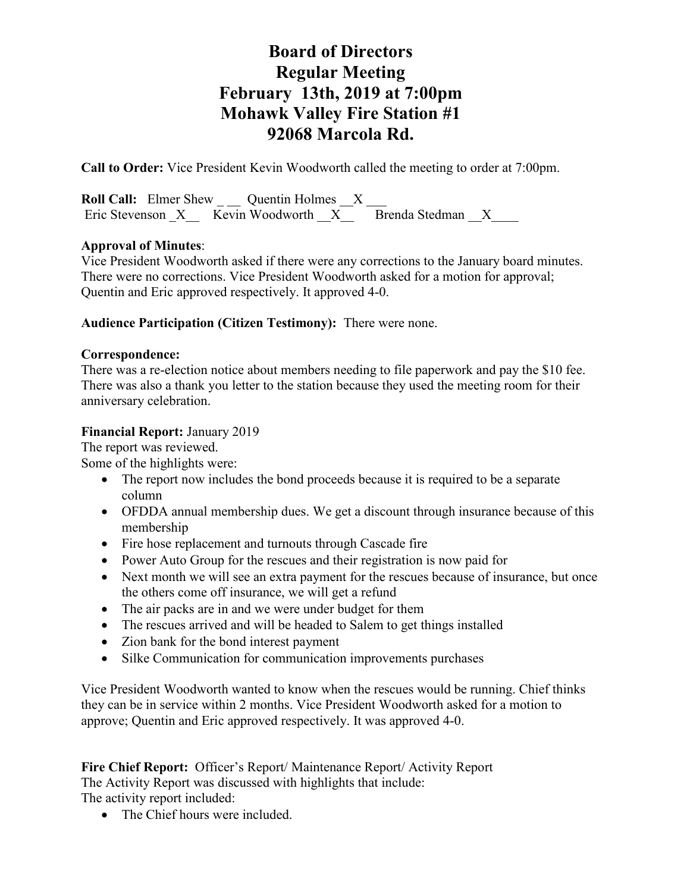**Call to Order:** Vice President Kevin Woodworth called the meeting to order at 7:00pm.

**Roll Call:** Elmer Shew Quentin Holmes X Eric Stevenson  $X = \overline{\text{Kevin} \text{ Woodworth}}$   $X = \overline{\text{Brenda Stedman}}$  X

## **Approval of Minutes**:

Vice President Woodworth asked if there were any corrections to the January board minutes. There were no corrections. Vice President Woodworth asked for a motion for approval; Quentin and Eric approved respectively. It approved 4-0.

## **Audience Participation (Citizen Testimony):** There were none.

## **Correspondence:**

There was a re-election notice about members needing to file paperwork and pay the \$10 fee. There was also a thank you letter to the station because they used the meeting room for their anniversary celebration.

## **Financial Report:** January 2019

The report was reviewed.

Some of the highlights were:

- The report now includes the bond proceeds because it is required to be a separate column
- OFDDA annual membership dues. We get a discount through insurance because of this membership
- Fire hose replacement and turnouts through Cascade fire
- Power Auto Group for the rescues and their registration is now paid for
- Next month we will see an extra payment for the rescues because of insurance, but once the others come off insurance, we will get a refund
- The air packs are in and we were under budget for them
- The rescues arrived and will be headed to Salem to get things installed
- Zion bank for the bond interest payment
- Silke Communication for communication improvements purchases

Vice President Woodworth wanted to know when the rescues would be running. Chief thinks they can be in service within 2 months. Vice President Woodworth asked for a motion to approve; Quentin and Eric approved respectively. It was approved 4-0.

**Fire Chief Report:** Officer's Report/ Maintenance Report/ Activity Report The Activity Report was discussed with highlights that include: The activity report included:

• The Chief hours were included.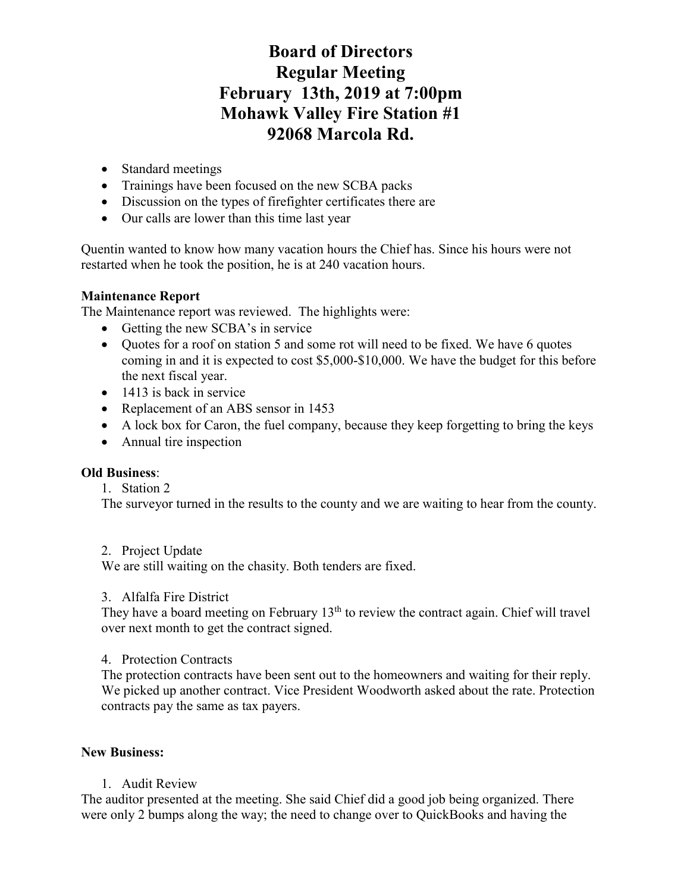- Standard meetings
- Trainings have been focused on the new SCBA packs
- Discussion on the types of firefighter certificates there are
- Our calls are lower than this time last year

Quentin wanted to know how many vacation hours the Chief has. Since his hours were not restarted when he took the position, he is at 240 vacation hours.

## **Maintenance Report**

The Maintenance report was reviewed. The highlights were:

- Getting the new SCBA's in service
- Quotes for a roof on station 5 and some rot will need to be fixed. We have 6 quotes coming in and it is expected to cost \$5,000-\$10,000. We have the budget for this before the next fiscal year.
- 1413 is back in service
- Replacement of an ABS sensor in 1453
- A lock box for Caron, the fuel company, because they keep forgetting to bring the keys
- Annual tire inspection

#### **Old Business**:

#### 1. Station 2

The surveyor turned in the results to the county and we are waiting to hear from the county.

#### 2. Project Update

We are still waiting on the chasity. Both tenders are fixed.

#### 3. Alfalfa Fire District

They have a board meeting on February  $13<sup>th</sup>$  to review the contract again. Chief will travel over next month to get the contract signed.

#### 4. Protection Contracts

The protection contracts have been sent out to the homeowners and waiting for their reply. We picked up another contract. Vice President Woodworth asked about the rate. Protection contracts pay the same as tax payers.

#### **New Business:**

#### 1. Audit Review

The auditor presented at the meeting. She said Chief did a good job being organized. There were only 2 bumps along the way; the need to change over to QuickBooks and having the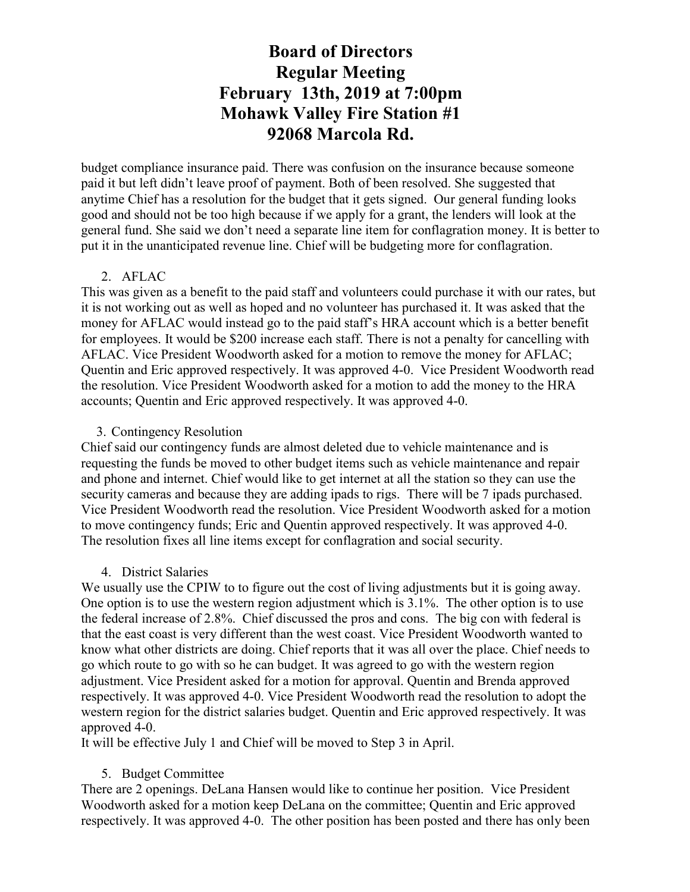budget compliance insurance paid. There was confusion on the insurance because someone paid it but left didn't leave proof of payment. Both of been resolved. She suggested that anytime Chief has a resolution for the budget that it gets signed. Our general funding looks good and should not be too high because if we apply for a grant, the lenders will look at the general fund. She said we don't need a separate line item for conflagration money. It is better to put it in the unanticipated revenue line. Chief will be budgeting more for conflagration.

#### 2. AFLAC

This was given as a benefit to the paid staff and volunteers could purchase it with our rates, but it is not working out as well as hoped and no volunteer has purchased it. It was asked that the money for AFLAC would instead go to the paid staff's HRA account which is a better benefit for employees. It would be \$200 increase each staff. There is not a penalty for cancelling with AFLAC. Vice President Woodworth asked for a motion to remove the money for AFLAC; Quentin and Eric approved respectively. It was approved 4-0. Vice President Woodworth read the resolution. Vice President Woodworth asked for a motion to add the money to the HRA accounts; Quentin and Eric approved respectively. It was approved 4-0.

#### 3. Contingency Resolution

Chief said our contingency funds are almost deleted due to vehicle maintenance and is requesting the funds be moved to other budget items such as vehicle maintenance and repair and phone and internet. Chief would like to get internet at all the station so they can use the security cameras and because they are adding ipads to rigs. There will be 7 ipads purchased. Vice President Woodworth read the resolution. Vice President Woodworth asked for a motion to move contingency funds; Eric and Quentin approved respectively. It was approved 4-0. The resolution fixes all line items except for conflagration and social security.

#### 4. District Salaries

We usually use the CPIW to to figure out the cost of living adjustments but it is going away. One option is to use the western region adjustment which is 3.1%. The other option is to use the federal increase of 2.8%. Chief discussed the pros and cons. The big con with federal is that the east coast is very different than the west coast. Vice President Woodworth wanted to know what other districts are doing. Chief reports that it was all over the place. Chief needs to go which route to go with so he can budget. It was agreed to go with the western region adjustment. Vice President asked for a motion for approval. Quentin and Brenda approved respectively. It was approved 4-0. Vice President Woodworth read the resolution to adopt the western region for the district salaries budget. Quentin and Eric approved respectively. It was approved 4-0.

It will be effective July 1 and Chief will be moved to Step 3 in April.

#### 5. Budget Committee

There are 2 openings. DeLana Hansen would like to continue her position. Vice President Woodworth asked for a motion keep DeLana on the committee; Quentin and Eric approved respectively. It was approved 4-0. The other position has been posted and there has only been